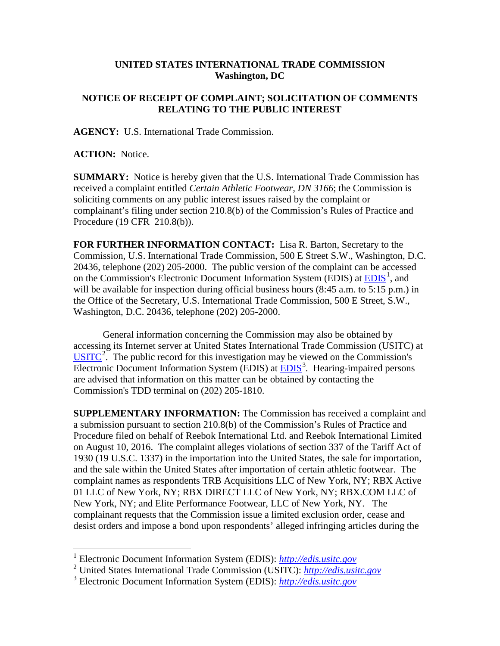## **UNITED STATES INTERNATIONAL TRADE COMMISSION Washington, DC**

## **NOTICE OF RECEIPT OF COMPLAINT; SOLICITATION OF COMMENTS RELATING TO THE PUBLIC INTEREST**

**AGENCY:** U.S. International Trade Commission.

**ACTION:** Notice.

**SUMMARY:** Notice is hereby given that the U.S. International Trade Commission has received a complaint entitled *Certain Athletic Footwear, DN 3166*; the Commission is soliciting comments on any public interest issues raised by the complaint or complainant's filing under section 210.8(b) of the Commission's Rules of Practice and Procedure (19 CFR 210.8(b)).

**FOR FURTHER INFORMATION CONTACT:** Lisa R. Barton, Secretary to the Commission, U.S. International Trade Commission, 500 E Street S.W., Washington, D.C. 20436, telephone (202) 205-2000. The public version of the complaint can be accessed on the Commission's Electronic Document Information System (EDIS) at  $\underline{EDIS}^1$  $\underline{EDIS}^1$ , and will be available for inspection during official business hours (8:45 a.m. to 5:15 p.m.) in the Office of the Secretary, U.S. International Trade Commission, 500 E Street, S.W., Washington, D.C. 20436, telephone (202) 205-2000.

General information concerning the Commission may also be obtained by accessing its Internet server at United States International Trade Commission (USITC) at  $\overline{\text{USITC}}^2$  $\overline{\text{USITC}}^2$  $\overline{\text{USITC}}^2$  $\overline{\text{USITC}}^2$ . The public record for this investigation may be viewed on the Commission's Electronic Document Information System (EDIS) at **EDIS**<sup>[3](#page-0-2)</sup>. Hearing-impaired persons are advised that information on this matter can be obtained by contacting the Commission's TDD terminal on (202) 205-1810.

**SUPPLEMENTARY INFORMATION:** The Commission has received a complaint and a submission pursuant to section 210.8(b) of the Commission's Rules of Practice and Procedure filed on behalf of Reebok International Ltd. and Reebok International Limited on August 10, 2016. The complaint alleges violations of section 337 of the Tariff Act of 1930 (19 U.S.C. 1337) in the importation into the United States, the sale for importation, and the sale within the United States after importation of certain athletic footwear. The complaint names as respondents TRB Acquisitions LLC of New York, NY; RBX Active 01 LLC of New York, NY; RBX DIRECT LLC of New York, NY; RBX.COM LLC of New York, NY; and Elite Performance Footwear, LLC of New York, NY. The complainant requests that the Commission issue a limited exclusion order, cease and desist orders and impose a bond upon respondents' alleged infringing articles during the

<span id="page-0-0"></span> <sup>1</sup> Electronic Document Information System (EDIS): *[http://edis.usitc.gov](http://edis.usitc.gov/)*

<span id="page-0-1"></span><sup>2</sup> United States International Trade Commission (USITC): *[http://edis.usitc.gov](http://edis.usitc.gov/)*

<span id="page-0-2"></span><sup>3</sup> Electronic Document Information System (EDIS): *[http://edis.usitc.gov](http://edis.usitc.gov/)*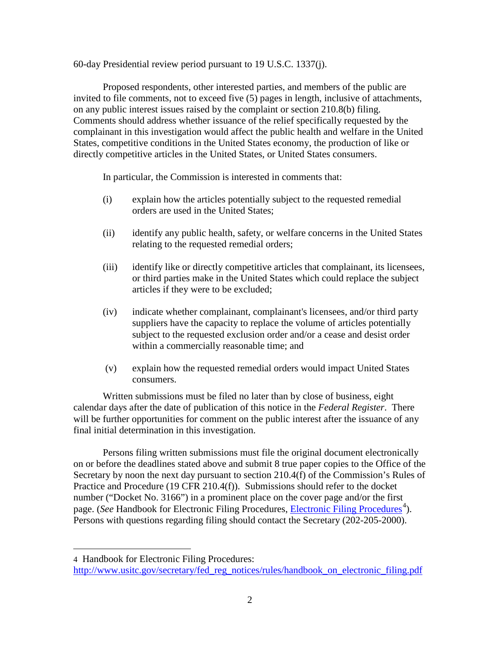60-day Presidential review period pursuant to 19 U.S.C. 1337(j).

Proposed respondents, other interested parties, and members of the public are invited to file comments, not to exceed five (5) pages in length, inclusive of attachments, on any public interest issues raised by the complaint or section 210.8(b) filing. Comments should address whether issuance of the relief specifically requested by the complainant in this investigation would affect the public health and welfare in the United States, competitive conditions in the United States economy, the production of like or directly competitive articles in the United States, or United States consumers.

In particular, the Commission is interested in comments that:

- (i) explain how the articles potentially subject to the requested remedial orders are used in the United States;
- (ii) identify any public health, safety, or welfare concerns in the United States relating to the requested remedial orders;
- (iii) identify like or directly competitive articles that complainant, its licensees, or third parties make in the United States which could replace the subject articles if they were to be excluded;
- (iv) indicate whether complainant, complainant's licensees, and/or third party suppliers have the capacity to replace the volume of articles potentially subject to the requested exclusion order and/or a cease and desist order within a commercially reasonable time; and
- (v) explain how the requested remedial orders would impact United States consumers.

Written submissions must be filed no later than by close of business, eight calendar days after the date of publication of this notice in the *Federal Register*. There will be further opportunities for comment on the public interest after the issuance of any final initial determination in this investigation.

Persons filing written submissions must file the original document electronically on or before the deadlines stated above and submit 8 true paper copies to the Office of the Secretary by noon the next day pursuant to section 210.4(f) of the Commission's Rules of Practice and Procedure (19 CFR 210.4(f)). Submissions should refer to the docket number ("Docket No. 3166") in a prominent place on the cover page and/or the first page. (*See* Handbook for [Electronic Filing Procedures](http://www.usitc.gov/secretary/fed_reg_notices/rules/handbook_on_electronic_filing.pdf), *Electronic Filing Procedures*<sup>[4](#page-1-0)</sup>). Persons with questions regarding filing should contact the Secretary (202-205-2000).

 $\overline{a}$ 

<span id="page-1-0"></span><sup>4</sup> Handbook for Electronic Filing Procedures:

[http://www.usitc.gov/secretary/fed\\_reg\\_notices/rules/handbook\\_on\\_electronic\\_filing.pdf](http://www.usitc.gov/secretary/fed_reg_notices/rules/handbook_on_electronic_filing.pdf)